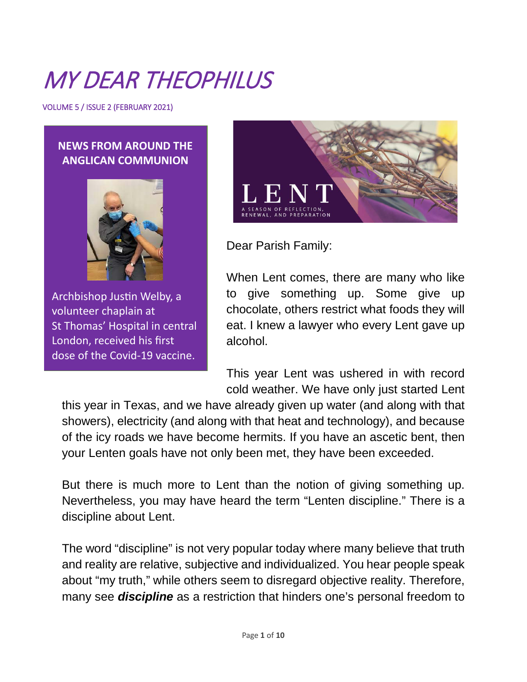# MY DEAR THEOPHILUS

VOLUME 5 / ISSUE 2 (FEBRUARY 2021)

#### **NEWS FROM AROUND THE ANGLICAN COMMUNION**



Archbishop Justin Welby, a volunteer chaplain at St Thomas' Hospital in central London, received his first dose of the Covid-19 vaccine.



Dear Parish Family:

When Lent comes, there are many who like to give something up. Some give up chocolate, others restrict what foods they will eat. I knew a lawyer who every Lent gave up alcohol.

This year Lent was ushered in with record cold weather. We have only just started Lent

this year in Texas, and we have already given up water (and along with that showers), electricity (and along with that heat and technology), and because of the icy roads we have become hermits. If you have an ascetic bent, then your Lenten goals have not only been met, they have been exceeded.

But there is much more to Lent than the notion of giving something up. Nevertheless, you may have heard the term "Lenten discipline." There is a discipline about Lent.

The word "discipline" is not very popular today where many believe that truth and reality are relative, subjective and individualized. You hear people speak about "my truth," while others seem to disregard objective reality. Therefore, many see *discipline* as a restriction that hinders one's personal freedom to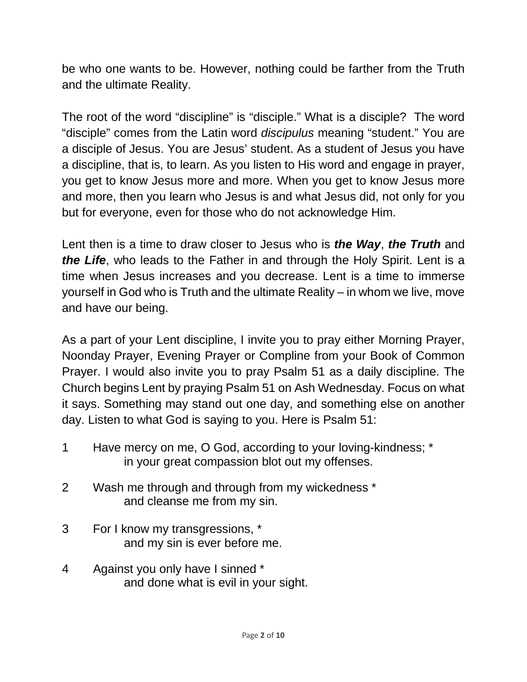be who one wants to be. However, nothing could be farther from the Truth and the ultimate Reality.

The root of the word "discipline" is "disciple." What is a disciple? The word "disciple" comes from the Latin word *discipulus* meaning "student." You are a disciple of Jesus. You are Jesus' student. As a student of Jesus you have a discipline, that is, to learn. As you listen to His word and engage in prayer, you get to know Jesus more and more. When you get to know Jesus more and more, then you learn who Jesus is and what Jesus did, not only for you but for everyone, even for those who do not acknowledge Him.

Lent then is a time to draw closer to Jesus who is *the Way*, *the Truth* and *the Life*, who leads to the Father in and through the Holy Spirit. Lent is a time when Jesus increases and you decrease. Lent is a time to immerse yourself in God who is Truth and the ultimate Reality – in whom we live, move and have our being.

As a part of your Lent discipline, I invite you to pray either Morning Prayer, Noonday Prayer, Evening Prayer or Compline from your Book of Common Prayer. I would also invite you to pray Psalm 51 as a daily discipline. The Church begins Lent by praying Psalm 51 on Ash Wednesday. Focus on what it says. Something may stand out one day, and something else on another day. Listen to what God is saying to you. Here is Psalm 51:

- 1 Have mercy on me, O God, according to your loving-kindness; \* in your great compassion blot out my offenses.
- 2 Wash me through and through from my wickedness \* and cleanse me from my sin.
- 3 For I know my transgressions, \* and my sin is ever before me.
- 4 Against you only have I sinned \* and done what is evil in your sight.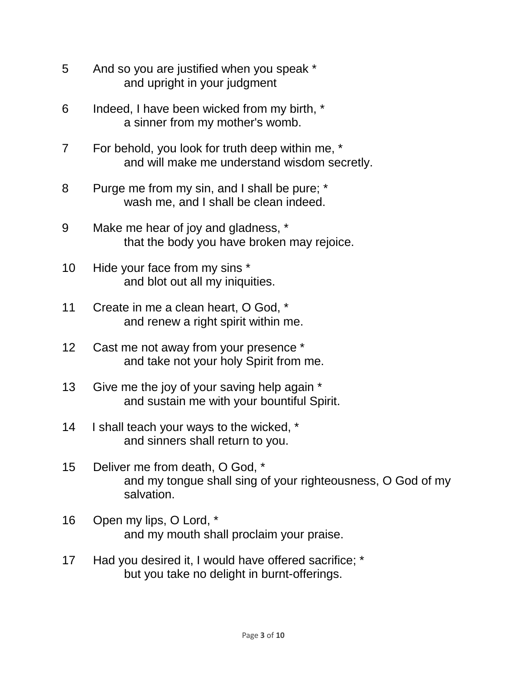- 5 And so you are justified when you speak \* and upright in your judgment
- 6 Indeed, I have been wicked from my birth, \* a sinner from my mother's womb.
- 7 For behold, you look for truth deep within me, \* and will make me understand wisdom secretly.
- 8 Purge me from my sin, and I shall be pure; \* wash me, and I shall be clean indeed.
- 9 Make me hear of joy and gladness, \* that the body you have broken may rejoice.
- 10 Hide your face from my sins \* and blot out all my iniquities.
- 11 Create in me a clean heart, O God, \* and renew a right spirit within me.
- 12 Cast me not away from your presence \* and take not your holy Spirit from me.
- 13 Give me the joy of your saving help again \* and sustain me with your bountiful Spirit.
- 14 I shall teach your ways to the wicked, \* and sinners shall return to you.
- 15 Deliver me from death, O God, \* and my tongue shall sing of your righteousness, O God of my salvation.
- 16 Open my lips, O Lord, \* and my mouth shall proclaim your praise.
- 17 Had you desired it, I would have offered sacrifice; \* but you take no delight in burnt-offerings.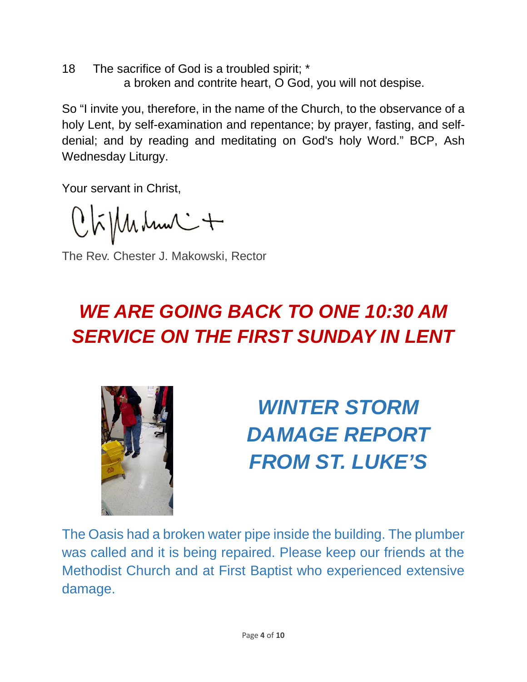18 The sacrifice of God is a troubled spirit; \* a broken and contrite heart, O God, you will not despise.

So "I invite you, therefore, in the name of the Church, to the observance of a holy Lent, by self-examination and repentance; by prayer, fasting, and selfdenial; and by reading and meditating on God's holy Word." BCP, Ash Wednesday Liturgy.

Your servant in Christ,

 $Q$  $\tilde{h}$  $\mathcal{M}$  $\mathcal{M}$  $\mathcal{M}$  $\mathcal{M}$  $\mathcal{M}$ 

The Rev. Chester J. Makowski, Rector

## *WE ARE GOING BACK TO ONE 10:30 AM SERVICE ON THE FIRST SUNDAY IN LENT*



*WINTER STORM DAMAGE REPORT FROM ST. LUKE'S*

The Oasis had a broken water pipe inside the building. The plumber was called and it is being repaired. Please keep our friends at the Methodist Church and at First Baptist who experienced extensive damage.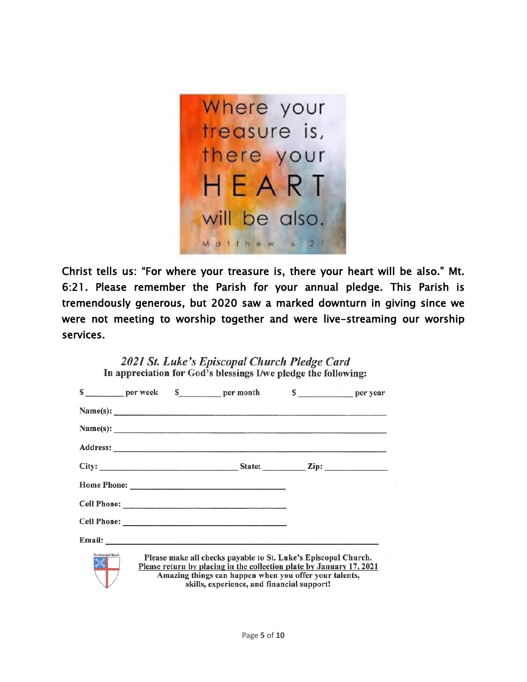

Christ tells us: "For where your treasure is, there your heart will be also." Mt. 6:21. Please remember the Parish for your annual pledge. This Parish is tremendously generous, but 2020 saw a marked downturn in giving since we were not meeting to worship together and were live-streaming our worship services.

| In appreciation for God's blessings I/we pledge the following: |                                                                                                                                                                                                                                                |  |                                                                |  |  |
|----------------------------------------------------------------|------------------------------------------------------------------------------------------------------------------------------------------------------------------------------------------------------------------------------------------------|--|----------------------------------------------------------------|--|--|
|                                                                |                                                                                                                                                                                                                                                |  | \$ ________ per week \$ _______ per month \$ ________ per year |  |  |
|                                                                |                                                                                                                                                                                                                                                |  | Name(s): $\qquad \qquad$                                       |  |  |
|                                                                |                                                                                                                                                                                                                                                |  | Name(s): $\qquad \qquad$                                       |  |  |
|                                                                |                                                                                                                                                                                                                                                |  |                                                                |  |  |
|                                                                |                                                                                                                                                                                                                                                |  |                                                                |  |  |
|                                                                |                                                                                                                                                                                                                                                |  |                                                                |  |  |
|                                                                |                                                                                                                                                                                                                                                |  |                                                                |  |  |
|                                                                |                                                                                                                                                                                                                                                |  |                                                                |  |  |
|                                                                |                                                                                                                                                                                                                                                |  |                                                                |  |  |
| The Episcopal Church<br>其                                      | Please make all checks payable to St. Luke's Episcopal Church.<br>Please return by placing in the collection plate by January 17, 2021<br>Amazing things can happen when you offer your talents,<br>skills, experience, and financial support! |  |                                                                |  |  |

2021 St. Luke's Enisconal Church Pledge Card

Page **5** of **10**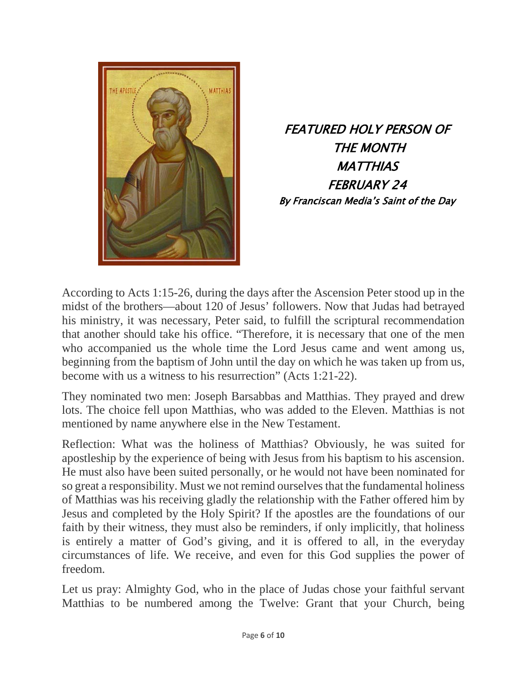

FEATURED HOLY PERSON OF THE MONTH **MATTHIAS** FEBRUARY 24 By Franciscan Media's Saint of the Day

According to Acts 1:15-26, during the days after the Ascension Peter stood up in the midst of the brothers—about 120 of Jesus' followers. Now that Judas had betrayed his ministry, it was necessary, Peter said, to fulfill the scriptural recommendation that another should take his office. "Therefore, it is necessary that one of the men who accompanied us the whole time the Lord Jesus came and went among us, beginning from the baptism of John until the day on which he was taken up from us, become with us a witness to his resurrection" (Acts 1:21-22).

They nominated two men: Joseph Barsabbas and Matthias. They prayed and drew lots. The choice fell upon Matthias, who was added to the Eleven. Matthias is not mentioned by name anywhere else in the New Testament.

Reflection: What was the holiness of Matthias? Obviously, he was suited for apostleship by the experience of being with Jesus from his baptism to his ascension. He must also have been suited personally, or he would not have been nominated for so great a responsibility. Must we not remind ourselves that the fundamental holiness of Matthias was his receiving gladly the relationship with the Father offered him by Jesus and completed by the Holy Spirit? If the apostles are the foundations of our faith by their witness, they must also be reminders, if only implicitly, that holiness is entirely a matter of God's giving, and it is offered to all, in the everyday circumstances of life. We receive, and even for this God supplies the power of freedom.

Let us pray: Almighty God, who in the place of Judas chose your faithful servant Matthias to be numbered among the Twelve: Grant that your Church, being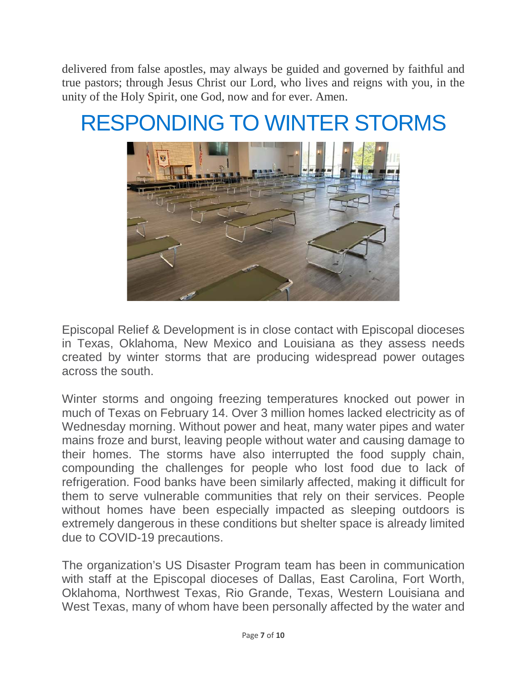delivered from false apostles, may always be guided and governed by faithful and true pastors; through Jesus Christ our Lord, who lives and reigns with you, in the unity of the Holy Spirit, one God, now and for ever. Amen.

## RESPONDING TO WINTER STORMS



Episcopal Relief & Development is in close contact with Episcopal dioceses in Texas, Oklahoma, New Mexico and Louisiana as they assess needs created by winter storms that are producing widespread power outages across the south.

Winter storms and ongoing freezing temperatures knocked out power in much of Texas on February 14. Over 3 million homes lacked electricity as of Wednesday morning. Without power and heat, many water pipes and water mains froze and burst, leaving people without water and causing damage to their homes. The storms have also interrupted the food supply chain, compounding the challenges for people who lost food due to lack of refrigeration. Food banks have been similarly affected, making it difficult for them to serve vulnerable communities that rely on their services. People without homes have been especially impacted as sleeping outdoors is extremely dangerous in these conditions but shelter space is already limited due to COVID-19 precautions.

The organization's US Disaster Program team has been in communication with staff at the Episcopal dioceses of Dallas, East Carolina, Fort Worth, Oklahoma, Northwest Texas, Rio Grande, Texas, Western Louisiana and West Texas, many of whom have been personally affected by the water and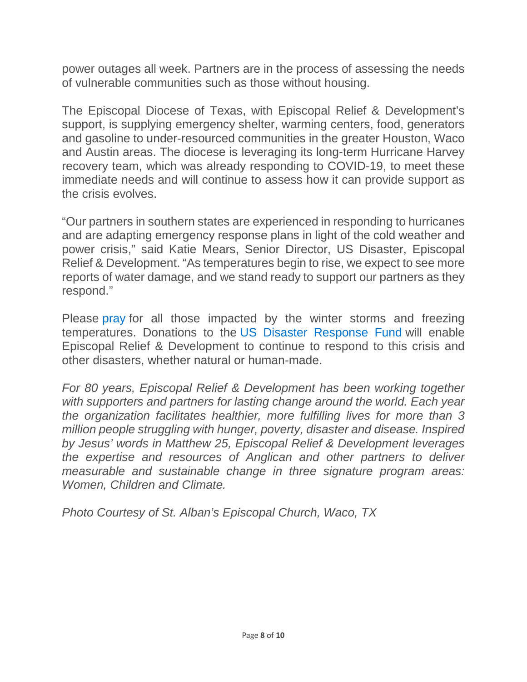power outages all week. Partners are in the process of assessing the needs of vulnerable communities such as those without housing.

The Episcopal Diocese of Texas, with Episcopal Relief & Development's support, is supplying emergency shelter, warming centers, food, generators and gasoline to under-resourced communities in the greater Houston, Waco and Austin areas. The diocese is leveraging its long-term Hurricane Harvey recovery team, which was already responding to COVID-19, to meet these immediate needs and will continue to assess how it can provide support as the crisis evolves.

"Our partners in southern states are experienced in responding to hurricanes and are adapting emergency response plans in light of the cold weather and power crisis," said Katie Mears, Senior Director, US Disaster, Episcopal Relief & Development. "As temperatures begin to rise, we expect to see more reports of water damage, and we stand ready to support our partners as they respond."

Please [pray](https://www.episcopalrelief.org/church-in-action/worship-resources/let-us-pray/) for all those impacted by the winter storms and freezing temperatures. Donations to the [US Disaster Response Fund](https://support.episcopalrelief.org/disasters?ID=210200DPADS0100&utm_medium=web&utm_campaign=fy21coldresponse&utm_source=210200DPADS0100) will enable Episcopal Relief & Development to continue to respond to this crisis and other disasters, whether natural or human-made.

*For 80 years, Episcopal Relief & Development has been working together*  with supporters and partners for lasting change around the world. Each year *the organization facilitates healthier, more fulfilling lives for more than 3 million people struggling with hunger, poverty, disaster and disease. Inspired by Jesus' words in Matthew 25, Episcopal Relief & Development leverages the expertise and resources of Anglican and other partners to deliver measurable and sustainable change in three signature program areas: Women, Children and Climate.*

*Photo Courtesy of St. Alban's Episcopal Church, Waco, TX*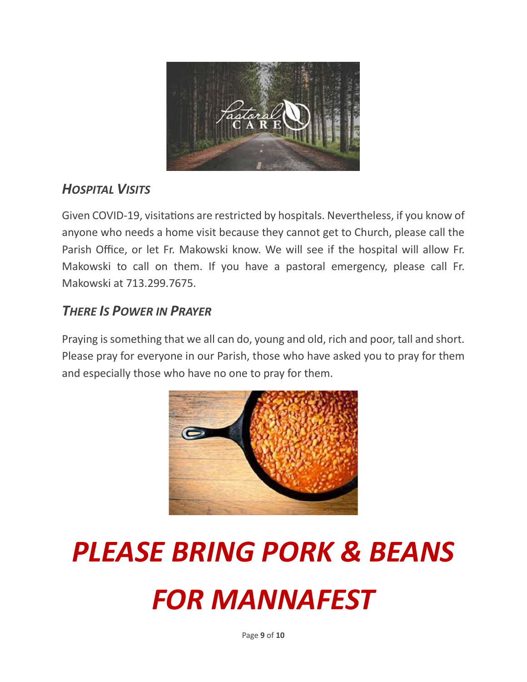

## *HOSPITAL VISITS*

Given COVID-19, visitations are restricted by hospitals. Nevertheless, if you know of anyone who needs a home visit because they cannot get to Church, please call the Parish Office, or let Fr. Makowski know. We will see if the hospital will allow Fr. Makowski to call on them. If you have a pastoral emergency, please call Fr. Makowski at 713.299.7675.

### *THERE IS POWER IN PRAYER*

Praying is something that we all can do, young and old, rich and poor, tall and short. Please pray for everyone in our Parish, those who have asked you to pray for them and especially those who have no one to pray for them.



# *PLEASE BRING PORK & BEANS FOR MANNAFEST*